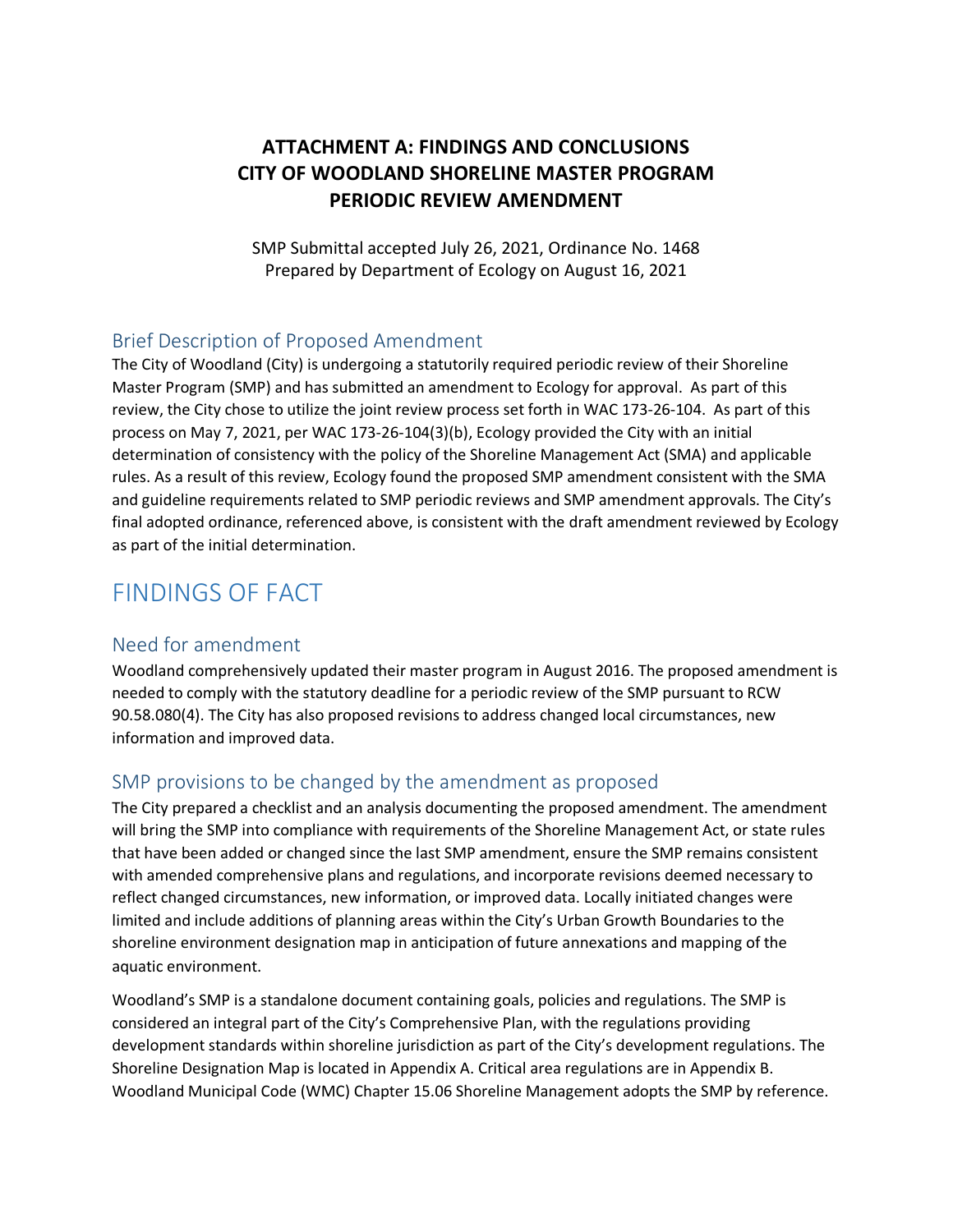### **ATTACHMENT A: FINDINGS AND CONCLUSIONS CITY OF WOODLAND SHORELINE MASTER PROGRAM PERIODIC REVIEW AMENDMENT**

SMP Submittal accepted July 26, 2021, Ordinance No. 1468 Prepared by Department of Ecology on August 16, 2021

### Brief Description of Proposed Amendment

The City of Woodland (City) is undergoing a statutorily required periodic review of their Shoreline Master Program (SMP) and has submitted an amendment to Ecology for approval. As part of this review, the City chose to utilize the joint review process set forth in WAC 173-26-104. As part of this process on May 7, 2021, per WAC 173-26-104(3)(b), Ecology provided the City with an initial determination of consistency with the policy of the Shoreline Management Act (SMA) and applicable rules. As a result of this review, Ecology found the proposed SMP amendment consistent with the SMA and guideline requirements related to SMP periodic reviews and SMP amendment approvals. The City's final adopted ordinance, referenced above, is consistent with the draft amendment reviewed by Ecology as part of the initial determination.

## FINDINGS OF FACT

### Need for amendment

Woodland comprehensively updated their master program in August 2016. The proposed amendment is needed to comply with the statutory deadline for a periodic review of the SMP pursuant to RCW 90.58.080(4). The City has also proposed revisions to address changed local circumstances, new information and improved data.

### SMP provisions to be changed by the amendment as proposed

The City prepared a checklist and an analysis documenting the proposed amendment. The amendment will bring the SMP into compliance with requirements of the Shoreline Management Act, or state rules that have been added or changed since the last SMP amendment, ensure the SMP remains consistent with amended comprehensive plans and regulations, and incorporate revisions deemed necessary to reflect changed circumstances, new information, or improved data. Locally initiated changes were limited and include additions of planning areas within the City's Urban Growth Boundaries to the shoreline environment designation map in anticipation of future annexations and mapping of the aquatic environment.

Woodland's SMP is a standalone document containing goals, policies and regulations. The SMP is considered an integral part of the City's Comprehensive Plan, with the regulations providing development standards within shoreline jurisdiction as part of the City's development regulations. The Shoreline Designation Map is located in Appendix A. Critical area regulations are in Appendix B. Woodland Municipal Code (WMC) Chapter 15.06 Shoreline Management adopts the SMP by reference.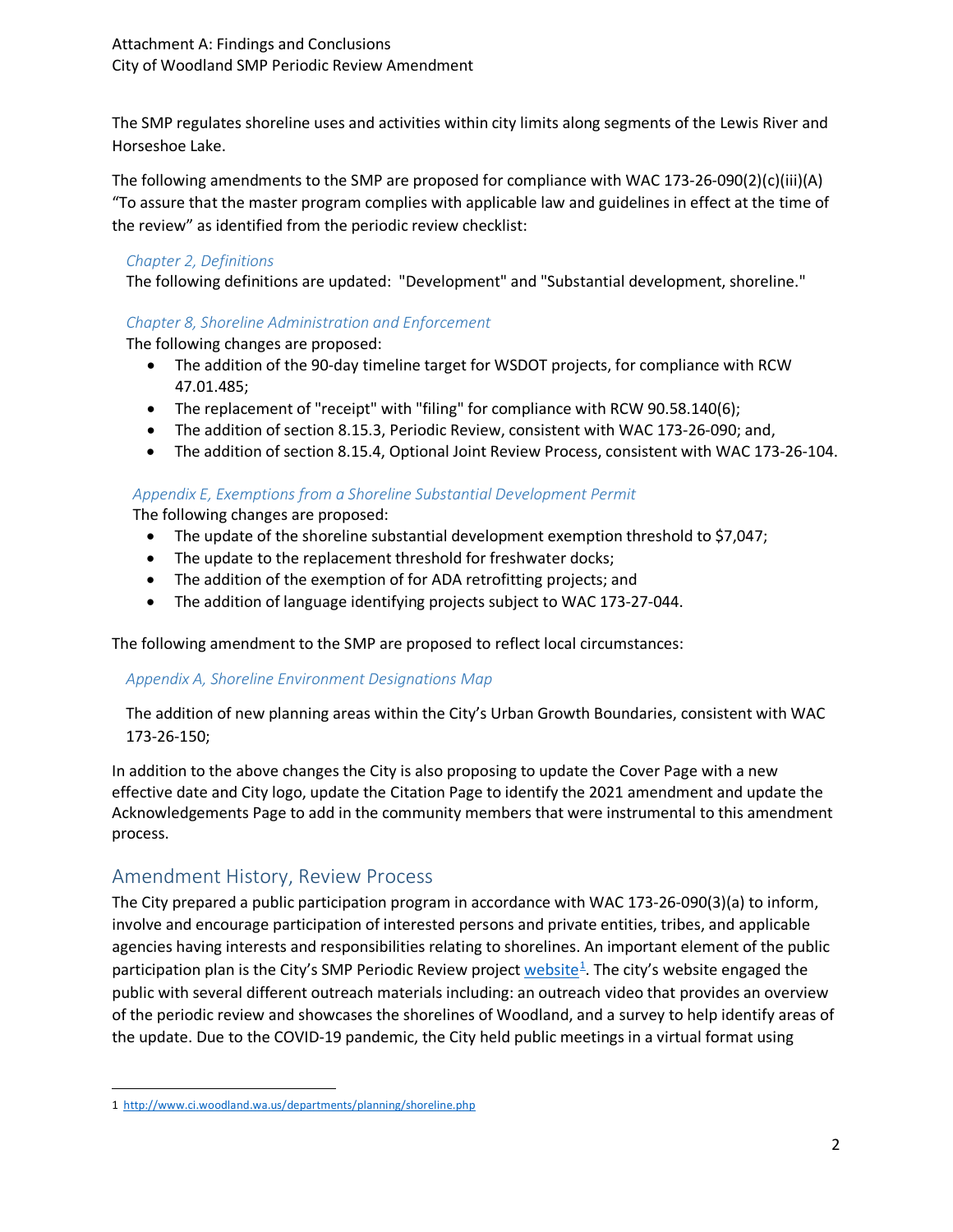The SMP regulates shoreline uses and activities within city limits along segments of the Lewis River and Horseshoe Lake.

The following amendments to the SMP are proposed for compliance with WAC 173-26-090(2)(c)(iii)(A) "To assure that the master program complies with applicable law and guidelines in effect at the time of the review" as identified from the periodic review checklist:

#### *Chapter 2, Definitions*

The following definitions are updated: "Development" and "Substantial development, shoreline."

#### *Chapter 8, Shoreline Administration and Enforcement*

The following changes are proposed:

- The addition of the 90-day timeline target for WSDOT projects, for compliance with RCW 47.01.485;
- The replacement of "receipt" with "filing" for compliance with RCW 90.58.140(6);
- The addition of section 8.15.3, Periodic Review, consistent with WAC 173-26-090; and,
- The addition of section 8.15.4, Optional Joint Review Process, consistent with WAC 173-26-104.

#### *Appendix E, Exemptions from a Shoreline Substantial Development Permit*

The following changes are proposed:

- The update of the shoreline substantial development exemption threshold to \$7,047;
- The update to the replacement threshold for freshwater docks;
- The addition of the exemption of for ADA retrofitting projects; and
- The addition of language identifying projects subject to WAC 173-27-044.

The following amendment to the SMP are proposed to reflect local circumstances:

#### *Appendix A, Shoreline Environment Designations Map*

The addition of new planning areas within the City's Urban Growth Boundaries, consistent with WAC 173-26-150;

In addition to the above changes the City is also proposing to update the Cover Page with a new effective date and City logo, update the Citation Page to identify the 2021 amendment and update the Acknowledgements Page to add in the community members that were instrumental to this amendment process.

### Amendment History, Review Process

The City prepared a public participation program in accordance with WAC 173-26-090(3)(a) to inform, involve and encourage participation of interested persons and private entities, tribes, and applicable agencies having interests and responsibilities relating to shorelines. An important element of the public participation plan is the City's SMP Periodic Review project website<sup>1</sup>. The city's website engaged the public with several different outreach materials including: an outreach video that provides an overview of the periodic review and showcases the shorelines of Woodland, and a survey to help identify areas of the update. Due to the COVID-19 pandemic, the City held public meetings in a virtual format using

<span id="page-1-0"></span> <sup>1</sup><http://www.ci.woodland.wa.us/departments/planning/shoreline.php>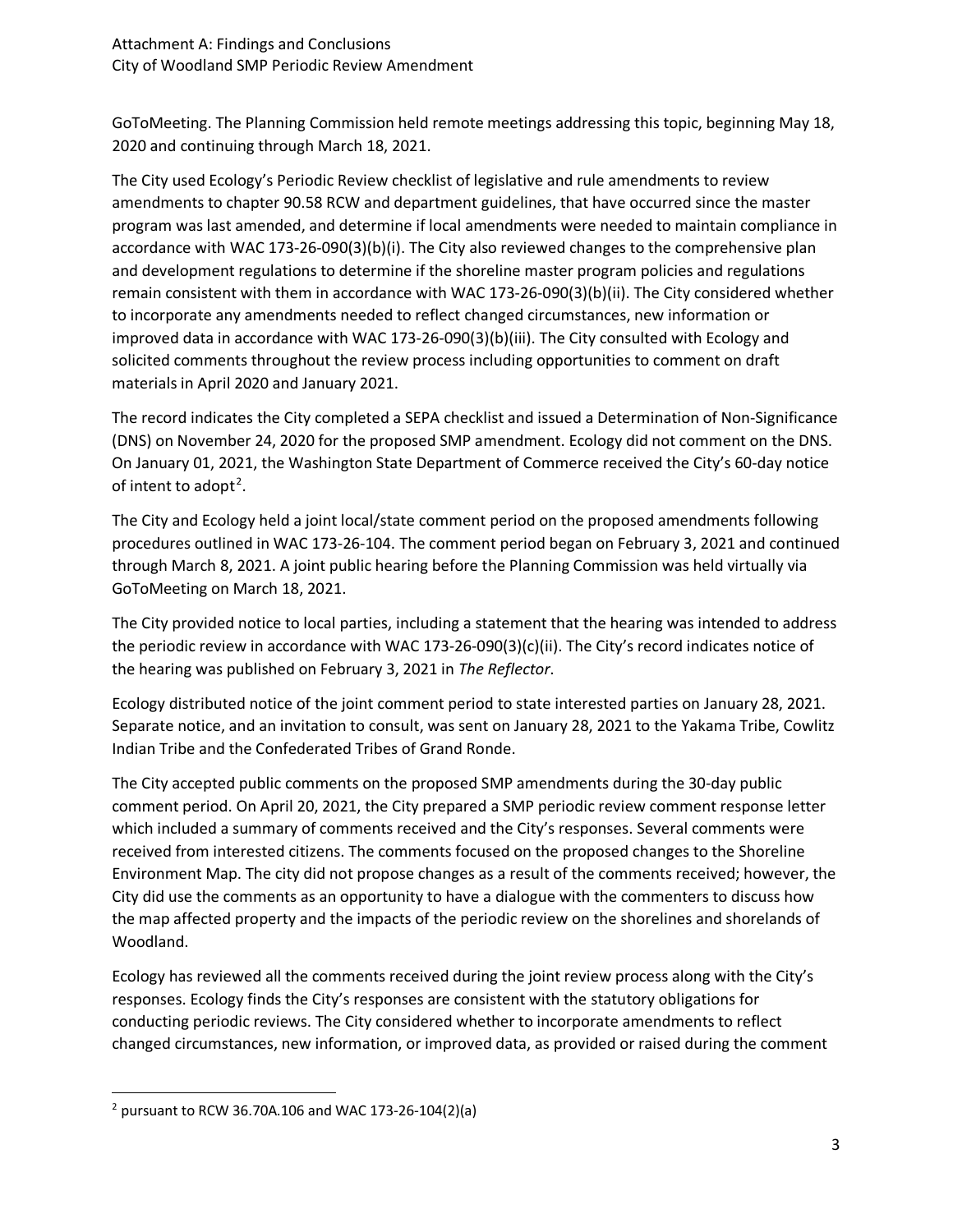GoToMeeting. The Planning Commission held remote meetings addressing this topic, beginning May 18, 2020 and continuing through March 18, 2021.

The City used Ecology's Periodic Review checklist of legislative and rule amendments to review amendments to chapter 90.58 RCW and department guidelines, that have occurred since the master program was last amended, and determine if local amendments were needed to maintain compliance in accordance with WAC 173-26-090(3)(b)(i). The City also reviewed changes to the comprehensive plan and development regulations to determine if the shoreline master program policies and regulations remain consistent with them in accordance with WAC 173-26-090(3)(b)(ii). The City considered whether to incorporate any amendments needed to reflect changed circumstances, new information or improved data in accordance with WAC 173-26-090(3)(b)(iii). The City consulted with Ecology and solicited comments throughout the review process including opportunities to comment on draft materials in April 2020 and January 2021.

The record indicates the City completed a SEPA checklist and issued a Determination of Non-Significance (DNS) on November 24, 2020 for the proposed SMP amendment. Ecology did not comment on the DNS. On January 01, 2021, the Washington State Department of Commerce received the City's 60-day notice of intent to adopt<sup>[2](#page-2-0)</sup>.

The City and Ecology held a joint local/state comment period on the proposed amendments following procedures outlined in WAC 173-26-104. The comment period began on February 3, 2021 and continued through March 8, 2021. A joint public hearing before the Planning Commission was held virtually via GoToMeeting on March 18, 2021.

The City provided notice to local parties, including a statement that the hearing was intended to address the periodic review in accordance with WAC 173-26-090(3)(c)(ii). The City's record indicates notice of the hearing was published on February 3, 2021 in *The Reflector*.

Ecology distributed notice of the joint comment period to state interested parties on January 28, 2021. Separate notice, and an invitation to consult, was sent on January 28, 2021 to the Yakama Tribe, Cowlitz Indian Tribe and the Confederated Tribes of Grand Ronde.

The City accepted public comments on the proposed SMP amendments during the 30-day public comment period. On April 20, 2021, the City prepared a SMP periodic review comment response letter which included a summary of comments received and the City's responses. Several comments were received from interested citizens. The comments focused on the proposed changes to the Shoreline Environment Map. The city did not propose changes as a result of the comments received; however, the City did use the comments as an opportunity to have a dialogue with the commenters to discuss how the map affected property and the impacts of the periodic review on the shorelines and shorelands of Woodland.

Ecology has reviewed all the comments received during the joint review process along with the City's responses. Ecology finds the City's responses are consistent with the statutory obligations for conducting periodic reviews. The City considered whether to incorporate amendments to reflect changed circumstances, new information, or improved data, as provided or raised during the comment

<span id="page-2-0"></span> $2$  pursuant to RCW 36.70A.106 and WAC 173-26-104(2)(a)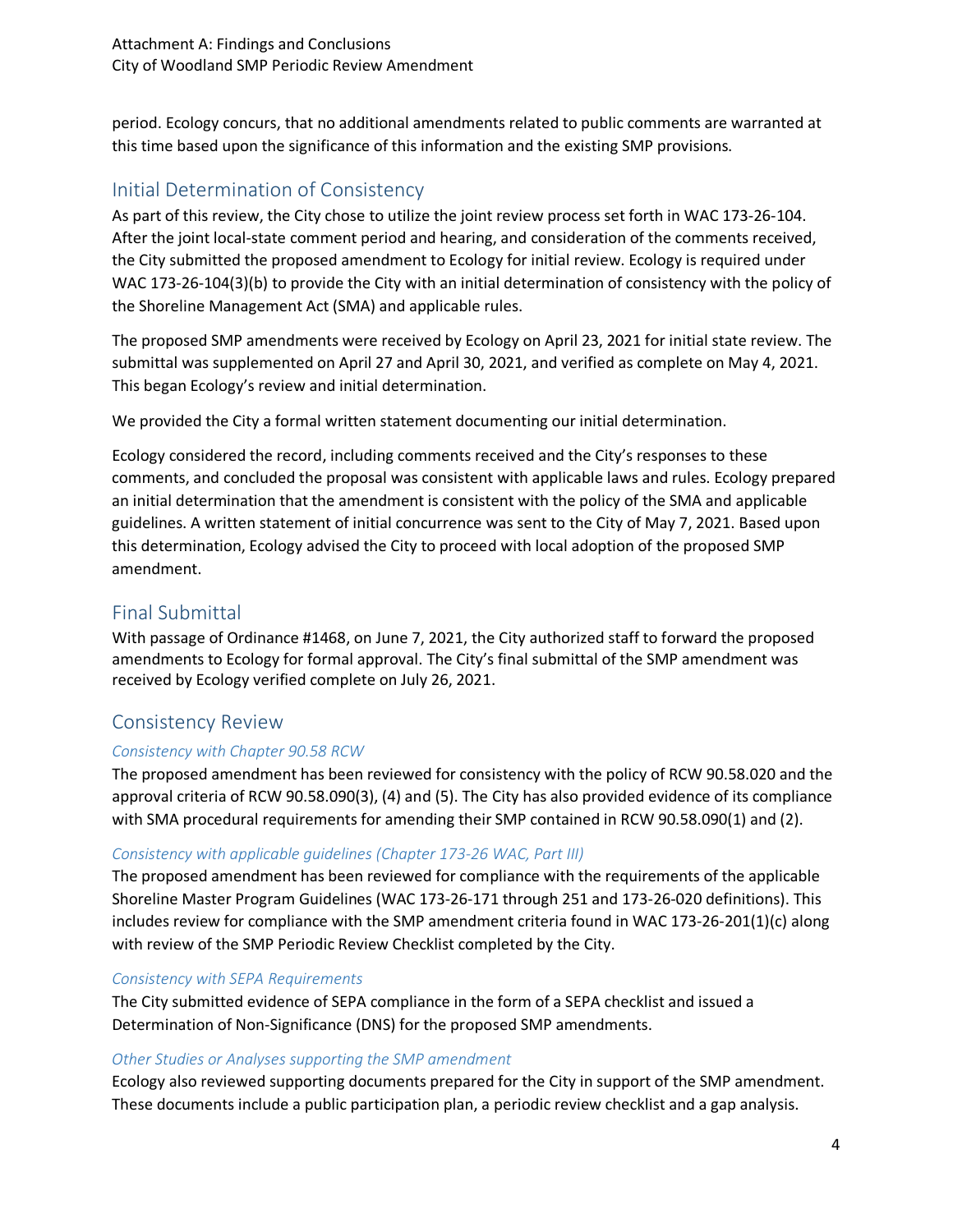period. Ecology concurs, that no additional amendments related to public comments are warranted at this time based upon the significance of this information and the existing SMP provisions.

### Initial Determination of Consistency

As part of this review, the City chose to utilize the joint review process set forth in WAC 173-26-104. After the joint local-state comment period and hearing, and consideration of the comments received, the City submitted the proposed amendment to Ecology for initial review. Ecology is required under WAC 173-26-104(3)(b) to provide the City with an initial determination of consistency with the policy of the Shoreline Management Act (SMA) and applicable rules.

The proposed SMP amendments were received by Ecology on April 23, 2021 for initial state review. The submittal was supplemented on April 27 and April 30, 2021, and verified as complete on May 4, 2021. This began Ecology's review and initial determination.

We provided the City a formal written statement documenting our initial determination.

Ecology considered the record, including comments received and the City's responses to these comments, and concluded the proposal was consistent with applicable laws and rules. Ecology prepared an initial determination that the amendment is consistent with the policy of the SMA and applicable guidelines. A written statement of initial concurrence was sent to the City of May 7, 2021. Based upon this determination, Ecology advised the City to proceed with local adoption of the proposed SMP amendment.

### Final Submittal

With passage of Ordinance #1468, on June 7, 2021, the City authorized staff to forward the proposed amendments to Ecology for formal approval. The City's final submittal of the SMP amendment was received by Ecology verified complete on July 26, 2021.

### Consistency Review

### *Consistency with Chapter 90.58 RCW*

The proposed amendment has been reviewed for consistency with the policy of RCW 90.58.020 and the approval criteria of RCW 90.58.090(3), (4) and (5). The City has also provided evidence of its compliance with SMA procedural requirements for amending their SMP contained in RCW 90.58.090(1) and (2).

### *Consistency with applicable guidelines (Chapter 173-26 WAC, Part III)*

The proposed amendment has been reviewed for compliance with the requirements of the applicable Shoreline Master Program Guidelines (WAC 173-26-171 through 251 and 173-26-020 definitions). This includes review for compliance with the SMP amendment criteria found in WAC 173-26-201(1)(c) along with review of the SMP Periodic Review Checklist completed by the City.

### *Consistency with SEPA Requirements*

The City submitted evidence of SEPA compliance in the form of a SEPA checklist and issued a Determination of Non-Significance (DNS) for the proposed SMP amendments.

### *Other Studies or Analyses supporting the SMP amendment*

Ecology also reviewed supporting documents prepared for the City in support of the SMP amendment. These documents include a public participation plan, a periodic review checklist and a gap analysis.